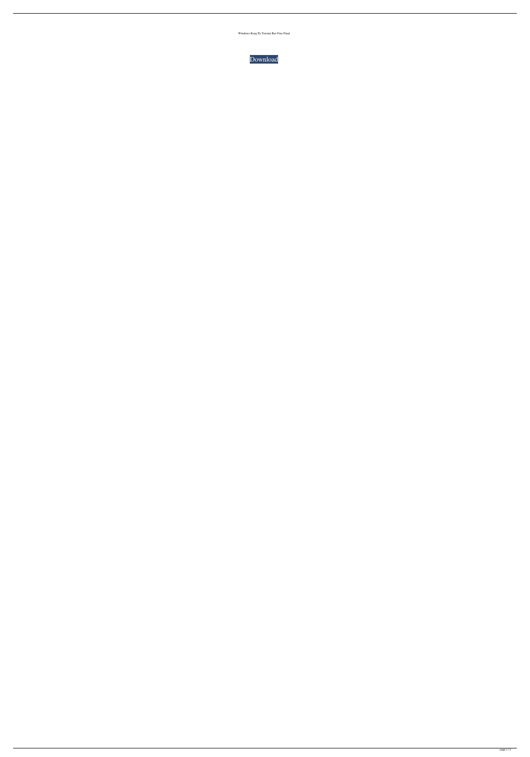Windows Korg Pa Torrent Rar Free Final